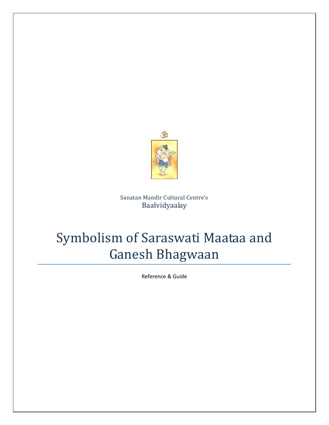

Sanatan Mandir Cultural Centre's Baalvidyaalay

# Symbolism of Saraswati Maataa and Ganesh Bhagwaan

Reference & Guide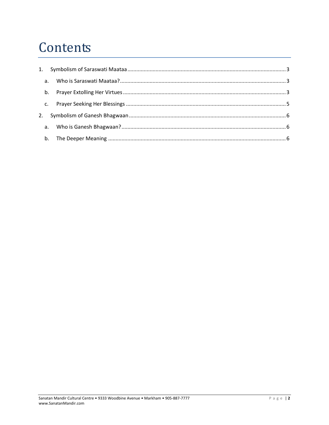# Contents

|    | a. |  |
|----|----|--|
|    |    |  |
|    |    |  |
| 2. |    |  |
|    |    |  |
|    |    |  |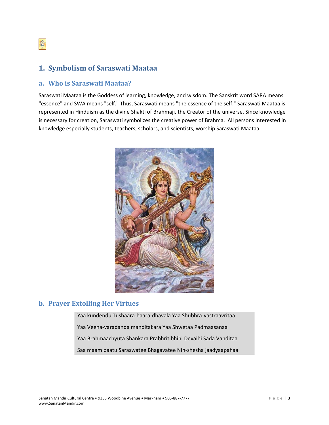<span id="page-2-0"></span>

# **1. Symbolism of Saraswati Maataa**

### **a. Who is Saraswati Maataa?**

Saraswati Maataa is the Goddess of learning, knowledge, and wisdom. The Sanskrit word SARA means "essence" and SWA means "self." Thus, Saraswati means "the essence of the self." Saraswati Maataa is represented in Hinduism as the divine Shakti of Brahmaji, the Creator of the universe. Since knowledge is necessary for creation, Saraswati symbolizes the creative power of Brahma. All persons interested in knowledge especially students, teachers, scholars, and scientists, worship Saraswati Maataa.



## **b. Prayer Extolling Her Virtues**

Yaa kundendu Tushaara‐haara‐dhavala Yaa Shubhra‐vastraavritaa Yaa Veena‐varadanda manditakara Yaa Shwetaa Padmaasanaa Yaa Brahmaachyuta Shankara Prabhritibhihi Devaihi Sada Vanditaa Saa maam paatu Saraswatee Bhagavatee Nih‐shesha jaadyaapahaa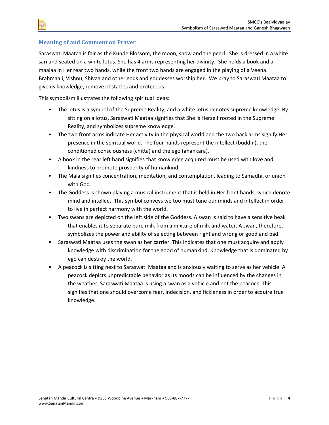#### **Meaning of and Comment on Prayer**

Saraswati Maataa is fair as the Kunde Blossom, the moon, snow and the pearl. She is dressed in a white sari and seated on a white lotus. She has 4 arms representing her divinity. She holds a book and a maalaa in Her rear two hands, while the front two hands are engaged in the playing of a Veena. Brahmaaji, Vishnu, Shivaa and other gods and goddesses worship her. We pray to Saraswati Maataa to give us knowledge, remove obstacles and protect us.

This symbolism illustrates the following spiritual ideas:

- The lotus is a symbol of the Supreme Reality, and a white lotus denotes supreme knowledge. By sitting on a lotus, Saraswati Maataa signifies that She is Herself rooted in the Supreme Reality, and symbolizes supreme knowledge.
- The two front arms indicate Her activity in the physical world and the two back arms signify Her presence in the spiritual world. The four hands represent the intellect (buddhi), the conditioned consciousness (chitta) and the ego (ahankara).
- A book in the rear left hand signifies that knowledge acquired must be used with love and kindness to promote prosperity of humankind.
- The Mala signifies concentration, meditation, and contemplation, leading to Samadhi, or union with God.
- The Goddess is shown playing a musical instrument that is held in Her front hands, which denote mind and intellect. This symbol conveys we too must tune our minds and intellect in order to live in perfect harmony with the world.
- Two swans are depicted on the left side of the Goddess. A swan is said to have a sensitive beak that enables it to separate pure milk from a mixture of milk and water. A swan, therefore, symbolizes the power and ability of selecting between right and wrong or good and bad.
- Saraswati Maataa uses the swan as her carrier. This indicates that one must acquire and apply knowledge with discrimination for the good of humankind. Knowledge that is dominated by ego can destroy the world.
- A peacock is sitting next to Saraswati Maataa and is anxiously waiting to serve as her vehicle. A peacock depicts unpredictable behavior as its moods can be influenced by the changes in the weather. Saraswati Maataa is using a swan as a vehicle and not the peacock. This signifies that one should overcome fear, indecision, and fickleness in order to acquire true knowledge.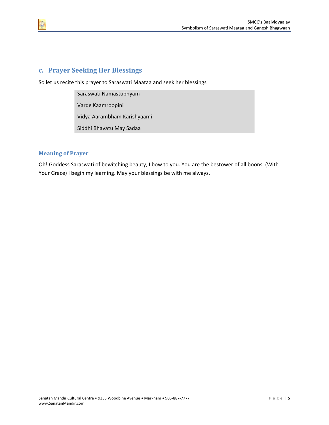

So let us recite this prayer to Saraswati Maataa and seek her blessings

Saraswati Namastubhyam

Varde Kaamroopini

Vidya Aarambham Karishyaami

Siddhi Bhavatu May Sadaa

#### **Meaning of Prayer**

Oh! Goddess Saraswati of bewitching beauty, I bow to you. You are the bestower of all boons. (With Your Grace) I begin my learning. May your blessings be with me always.

<span id="page-4-0"></span>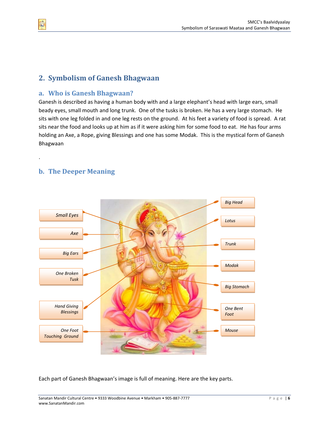# **2. Symbolism of Ganesh Bhagwaan**

## **a. Who is Ganesh Bhagwaan?**

Ganesh is described as having a human body with and a large elephant's head with large ears, small beady eyes, small mouth and long trunk. One of the tusks is broken. He has a very large stomach. He sits with one leg folded in and one leg rests on the ground. At his feet a variety of food is spread. A rat sits near the food and looks up at him as if it were asking him for some food to eat. He has four arms holding an Axe, a Rope, giving Blessings and one has some Modak. This is the mystical form of Ganesh Bhagwaan

## **b. The Deeper Meaning**



Each part of Ganesh Bhagwaan's image is full of meaning. Here are the key parts.

<span id="page-5-0"></span>

.